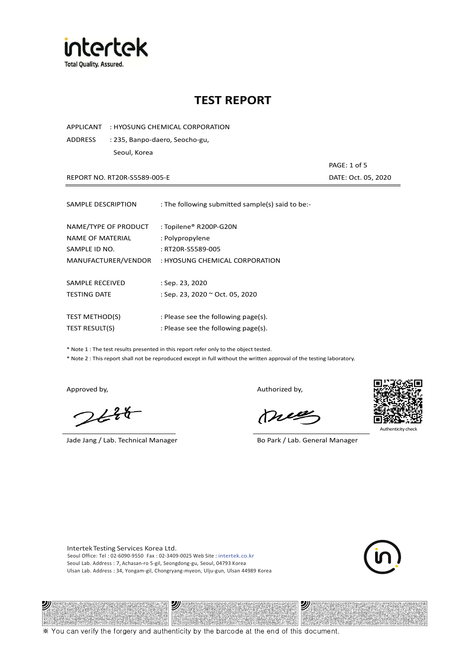

APPLICANT : HYOSUNG CHEMICAL CORPORATION

ADDRESS : 235, Banpo-daero, Seocho-gu, Seoul, Korea

REPORT NO. RT20R-S5589-005-E DATE: Oct. 05, 2020

PAGE: 1 of 5

| SAMPLE DESCRIPTION                                        | : The following submitted sample(s) said to be:-               |
|-----------------------------------------------------------|----------------------------------------------------------------|
| NAME/TYPE OF PRODUCT<br>NAME OF MATERIAL<br>SAMPLE ID NO. | : Topilene® R200P-G20N<br>: Polypropylene<br>: RT20R-S5589-005 |
| MANUFACTURER/VENDOR                                       | : HYOSUNG CHEMICAL CORPORATION                                 |
|                                                           |                                                                |
| SAMPLE RECEIVED                                           | $:$ Sep. 23, 2020                                              |
| <b>TESTING DATE</b>                                       | : Sep. 23, 2020 ~ Oct. 05, 2020                                |
|                                                           |                                                                |
| <b>TEST METHOD(S)</b>                                     | : Please see the following page(s).                            |
| <b>TEST RESULT(S)</b>                                     | : Please see the following page(s).                            |

\* Note 1 : The test results presented in this report refer only to the object tested.

\* Note 2 : This report shall not be reproduced except in full without the written approval of the testing laboratory.

2)

 $2648$ 

Jade Jang / Lab. Technical Manager Bo Park / Lab. General Manager

Approved by, and the control of the control of the Authorized by,

Mie



Authenticity check

沙

Intertek Testing Services Korea Ltd. Seoul Office: Tel : 02-6090-9550 Fax : 02-3409-0025 Web Site : intertek.co.kr Seoul Lab. Address : 7, Achasan-ro 5-gil, Seongdong-gu, Seoul, 04793 Korea Ulsan Lab. Address : 34, Yongam-gil, Chongryang-myeon, Ulju-gun, Ulsan 44989 Korea

ツ

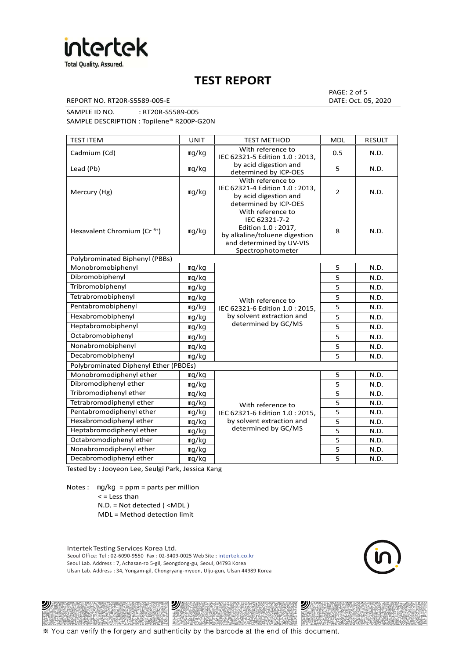

REPORT NO. RT20R-S5589-005-E DATE: Oct. 05, 2020

PAGE: 2 of 5

SAMPLE ID NO. : RT20R-S5589-005 SAMPLE DESCRIPTION : Topilene® R200P-G20N

| <b>TEST ITEM</b>                        | <b>UNIT</b> | <b>TEST METHOD</b>                                                                                                                          | <b>MDL</b>     | <b>RESULT</b> |
|-----------------------------------------|-------------|---------------------------------------------------------------------------------------------------------------------------------------------|----------------|---------------|
| Cadmium (Cd)                            | mg/kg       | With reference to<br>IEC 62321-5 Edition 1.0 : 2013,                                                                                        | 0.5            | N.D.          |
| Lead (Pb)                               | mg/kg       | by acid digestion and<br>determined by ICP-OES                                                                                              | 5              | N.D.          |
| Mercury (Hg)                            | mg/kg       | With reference to<br>IEC 62321-4 Edition 1.0: 2013,<br>by acid digestion and<br>determined by ICP-OES                                       | $\overline{2}$ | N.D.          |
| Hexavalent Chromium (Cr <sup>6+</sup> ) | mg/kg       | With reference to<br>IEC 62321-7-2<br>Edition 1.0 : 2017,<br>by alkaline/toluene digestion<br>and determined by UV-VIS<br>Spectrophotometer | 8              | N.D.          |
| Polybrominated Biphenyl (PBBs)          |             |                                                                                                                                             |                |               |
| Monobromobiphenyl                       | mg/kg       |                                                                                                                                             | 5              | N.D.          |
| Dibromobiphenyl                         | mg/kg       |                                                                                                                                             | 5              | N.D.          |
| Tribromobiphenyl                        | mg/kg       |                                                                                                                                             | 5              | N.D.          |
| Tetrabromobiphenyl                      | mg/kg       | With reference to                                                                                                                           | 5              | N.D.          |
| Pentabromobiphenyl                      | mg/kg       | IEC 62321-6 Edition 1.0: 2015,                                                                                                              | 5              | N.D.          |
| Hexabromobiphenyl                       | mg/kg       | by solvent extraction and                                                                                                                   | 5              | N.D.          |
| Heptabromobiphenyl                      | mg/kg       | determined by GC/MS                                                                                                                         | 5              | N.D.          |
| Octabromobiphenyl                       | mg/kg       |                                                                                                                                             | 5              | N.D.          |
| Nonabromobiphenyl                       | mg/kg       |                                                                                                                                             | 5              | N.D.          |
| Decabromobiphenyl                       | mg/kg       |                                                                                                                                             | 5              | N.D.          |
| Polybrominated Diphenyl Ether (PBDEs)   |             |                                                                                                                                             |                |               |
| Monobromodiphenyl ether                 | mg/kg       |                                                                                                                                             | 5              | N.D.          |
| Dibromodiphenyl ether                   | mg/kg       |                                                                                                                                             | 5              | N.D.          |
| Tribromodiphenyl ether                  | mg/kg       |                                                                                                                                             | 5              | N.D.          |
| Tetrabromodiphenyl ether                | mg/kg       | With reference to                                                                                                                           | 5              | N.D.          |
| Pentabromodiphenyl ether                | mg/kg       | IEC 62321-6 Edition 1.0 : 2015,                                                                                                             | 5              | N.D.          |
| Hexabromodiphenyl ether                 | mg/kg       | by solvent extraction and                                                                                                                   | 5              | N.D.          |
| Heptabromodiphenyl ether                | mg/kg       | determined by GC/MS                                                                                                                         | 5              | N.D.          |
| Octabromodiphenyl ether                 | mg/kg       |                                                                                                                                             | 5              | N.D.          |
| Nonabromodiphenyl ether                 | mg/kg       |                                                                                                                                             | 5              | N.D.          |
| Decabromodiphenyl ether<br>mg/kg        |             |                                                                                                                                             | 5              | N.D.          |

Tested by : Jooyeon Lee, Seulgi Park, Jessica Kang

Notes : mg/kg = ppm = parts per million < = Less than

沙

N.D. = Not detected ( <MDL )

MDL = Method detection limit

Intertek Testing Services Korea Ltd. Seoul Office: Tel : 02-6090-9550 Fax : 02-3409-0025 Web Site : intertek.co.kr Seoul Lab. Address : 7, Achasan-ro 5-gil, Seongdong-gu, Seoul, 04793 Korea Ulsan Lab. Address : 34, Yongam-gil, Chongryang-myeon, Ulju-gun, Ulsan 44989 Korea

沙



沙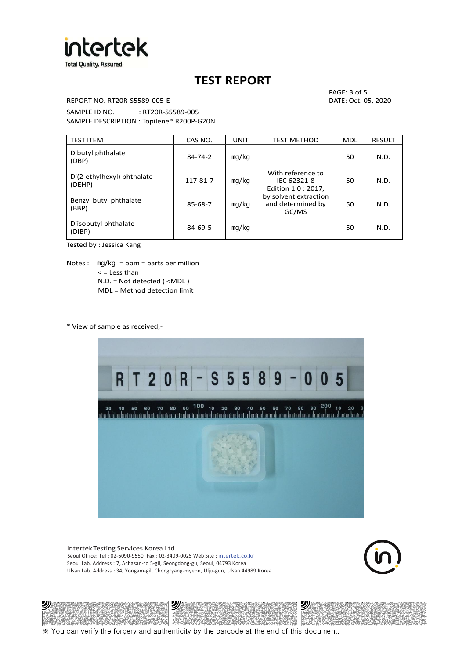

REPORT NO. RT20R-S5589-005-E DATE: Oct. 05, 2020

PAGE: 3 of 5

SAMPLE ID NO. : RT20R-S5589-005 SAMPLE DESCRIPTION : Topilene® R200P-G20N

| <b>TEST ITEM</b>                     | CAS NO.       | <b>UNIT</b> | <b>TEST METHOD</b>                                      | <b>MDL</b> | <b>RESULT</b> |
|--------------------------------------|---------------|-------------|---------------------------------------------------------|------------|---------------|
| Dibutyl phthalate<br>(DBP)           | $84 - 74 - 2$ | mq/kg       | With reference to<br>IEC 62321-8<br>Edition 1.0 : 2017, | 50         | N.D.          |
| Di(2-ethylhexyl) phthalate<br>(DEHP) | 117-81-7      | mg/kg       |                                                         | 50         | N.D.          |
| Benzyl butyl phthalate<br>(BBP)      | 85-68-7       | mq/kg       | by solvent extraction<br>and determined by<br>GC/MS     | 50         | N.D.          |
| Diisobutyl phthalate<br>(DIBP)       | $84 - 69 - 5$ | mg/kg       |                                                         | 50         | N.D.          |

Tested by : Jessica Kang

Notes :  $mq/kg = ppm = parts per million$  $<$  = Less than N.D. = Not detected ( <MDL ) MDL = Method detection limit

\* View of sample as received;-

沙



Intertek Testing Services Korea Ltd. Seoul Office: Tel : 02-6090-9550 Fax : 02-3409-0025 Web Site : intertek.co.kr Seoul Lab. Address : 7, Achasan-ro 5-gil, Seongdong-gu, Seoul, 04793 Korea Ulsan Lab. Address : 34, Yongam-gil, Chongryang-myeon, Ulju-gun, Ulsan 44989 Korea

沙



沙

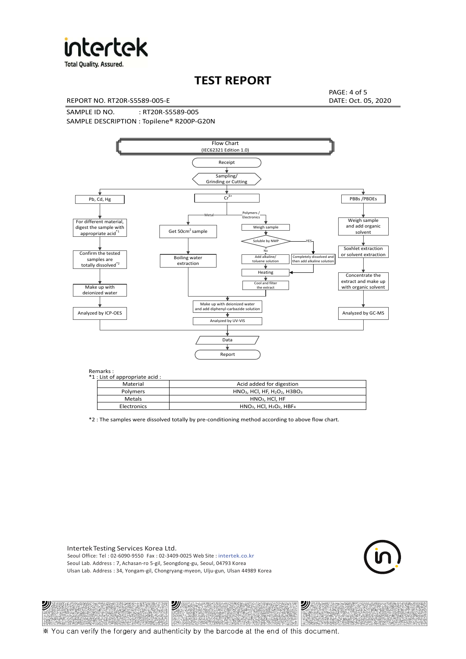

**Total Quality. Assured.** 

# **TEST REPORT**

REPORT NO. RT20R-S5589-005-E DATE: Oct. 05, 2020

PAGE: 4 of 5

SAMPLE ID NO. : RT20R-S5589-005 SAMPLE DESCRIPTION : Topilene® R200P-G20N



| *1 : List of appropriate acid : |                                                                     |
|---------------------------------|---------------------------------------------------------------------|
| Material                        | Acid added for digestion                                            |
| <b>Polymers</b>                 | $HNO3$ , HCl, HF, H <sub>2</sub> O <sub>2</sub> , H3BO <sub>3</sub> |
| Metals                          | $HNO3$ . HCl. HF                                                    |
| Electronics                     | $HNO3$ , HCl, H <sub>2</sub> O <sub>2</sub> , HBF <sub>4</sub>      |

\*2 : The samples were dissolved totally by pre-conditioning method according to above flow chart.

Intertek Testing Services Korea Ltd. Seoul Office: Tel : 02-6090-9550 Fax : 02-3409-0025 Web Site : intertek.co.kr Seoul Lab. Address : 7, Achasan-ro 5-gil, Seongdong-gu, Seoul, 04793 Korea Ulsan Lab. Address : 34, Yongam-gil, Chongryang-myeon, Ulju-gun, Ulsan 44989 Korea

沙

沙



沙